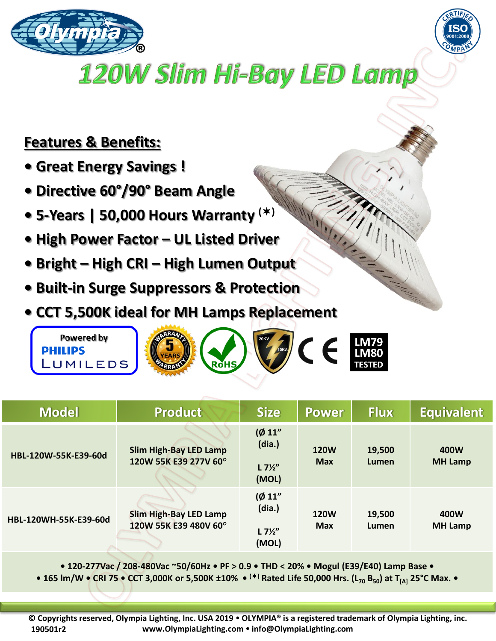



## **120W Slim Hi-Bay LED Lamp**

## **Features & Benefits:**

- **Great Energy Savings !**
- **Directive 60°/90° Beam Angle**
- **5-Years | 50,000 Hours Warranty ()**
- **High Power Factor – UL Listed Driver**
- **Bright – High CRI – High Lumen Output**
- **Built-in Surge Suppressors & Protection**
- **CCT 5,500K ideal for MH Lamps Replacement**



| <b>Model</b>          | <b>Product</b>                                         | <b>Size</b>                                   | <b>Power</b>              | <b>Flux</b>     | <b>Equivalent</b>      |
|-----------------------|--------------------------------------------------------|-----------------------------------------------|---------------------------|-----------------|------------------------|
| HBL-120W-55K-E39-60d  | <b>Slim High-Bay LED Lamp</b><br>120W 55K E39 277V 60° | (Ø 11"<br>(dia.)<br>$L 7\frac{1}{2}$<br>(MOL) | <b>120W</b><br><b>Max</b> | 19,500<br>Lumen | 400W<br><b>MH Lamp</b> |
| HBL-120WH-55K-E39-60d | <b>Slim High-Bay LED Lamp</b><br>120W 55K E39 480V 60° | (Ø 11"<br>(dia.)<br>$L 7\frac{1}{2}$<br>(MOL) | <b>120W</b><br><b>Max</b> | 19,500<br>Lumen | 400W<br><b>MH Lamp</b> |

**• 120-277Vac / 208-480Vac ~50/60Hz • PF > 0.9 • THD < 20% • Mogul (E39/E40) Lamp Base •**

**• 165 lm/W • CRI 75 • CCT 3,000K or 5,500K ±10% • () Rated Life 50,000 Hrs. (L<sup>70</sup> B50) at T[A] 25°C Max. •**

**© Copyrights reserved, Olympia Lighting, Inc. USA 2019 OLYMPIA® is a registered trademark of Olympia Lighting, inc. www.OlympiaLighting.com info@OlympiaLighting.com 190501r2**